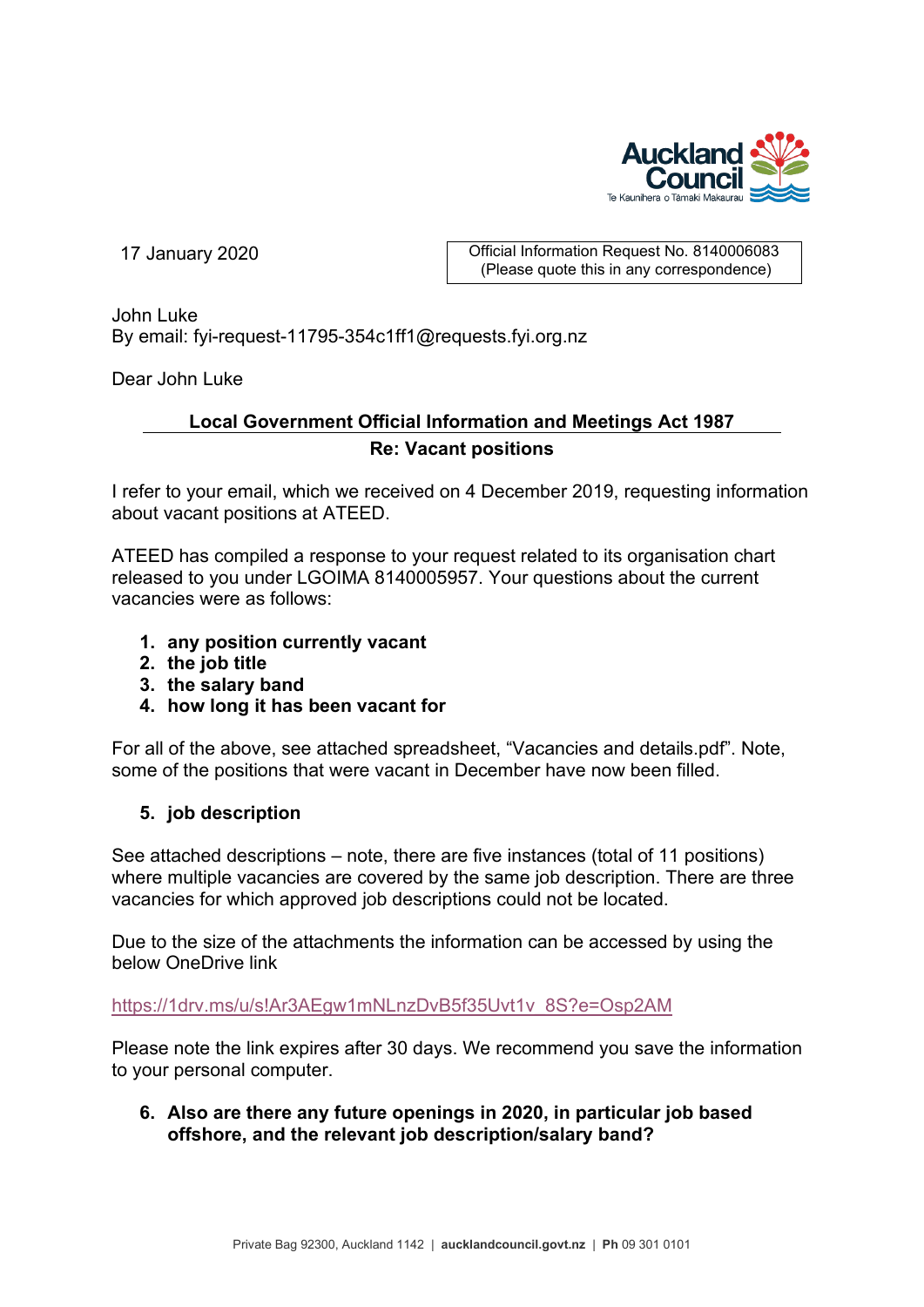

17 January 2020 **Communist Communist Communist Communist Communist Communist Communist Communist Communist Communist Communist Communist Communist Communist Communist Communist Communist Communist Communist Communist Commu** (Please quote this in any correspondence)

John Luke By email: fyi-request-11795-354c1ff1@requests.fyi.org.nz

Dear John Luke

## **Local Government Official Information and Meetings Act 1987 Re: Vacant positions**

I refer to your email, which we received on 4 December 2019, requesting information about vacant positions at ATEED.

ATEED has compiled a response to your request related to its organisation chart released to you under LGOIMA 8140005957. Your questions about the current vacancies were as follows:

- **1. any position currently vacant**
- **2. the job title**
- **3. the salary band**
- **4. how long it has been vacant for**

For all of the above, see attached spreadsheet, "Vacancies and details.pdf". Note, some of the positions that were vacant in December have now been filled.

## **5. job description**

See attached descriptions – note, there are five instances (total of 11 positions) where multiple vacancies are covered by the same job description. There are three vacancies for which approved job descriptions could not be located.

Due to the size of the attachments the information can be accessed by using the below OneDrive link

[https://1drv.ms/u/s!Ar3AEgw1mNLnzDvB5f35Uvt1v\\_8S?e=Osp2AM](https://1drv.ms/u/s!Ar3AEgw1mNLnzDvB5f35Uvt1v_8S?e=Osp2AM)

Please note the link expires after 30 days. We recommend you save the information to your personal computer.

**6. Also are there any future openings in 2020, in particular job based offshore, and the relevant job description/salary band?**